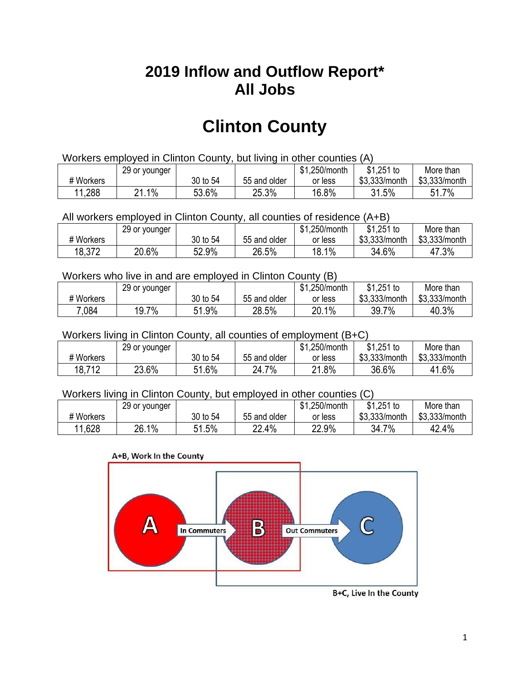## **2019 Inflow and Outflow Report\* All Jobs**

# **Clinton County**

| Workers employed in Clinton County, but living in other counties (A) |                                                           |          |              |         |               |               |  |  |  |
|----------------------------------------------------------------------|-----------------------------------------------------------|----------|--------------|---------|---------------|---------------|--|--|--|
|                                                                      | \$1.251 to<br>\$1.250/month<br>More than<br>29 or younger |          |              |         |               |               |  |  |  |
| # Workers                                                            |                                                           | 30 to 54 | 55 and older | or less | \$3,333/month | \$3,333/month |  |  |  |
| 11,288                                                               | $.1\%$<br>21                                              | 53.6%    | 25.3%        | 16.8%   | 31.5%         | 51.7%         |  |  |  |

All workers employed in Clinton County, all counties of residence (A+B)

|           | 29 or younger |          |              | \$1,250/month | \$1,251 to    | More than     |
|-----------|---------------|----------|--------------|---------------|---------------|---------------|
| # Workers |               | 30 to 54 | 55 and older | or less       | \$3,333/month | \$3,333/month |
| 18,372    | 20.6%         | 52.9%    | 26.5%        | 18.1%         | 34.6%         | 47.3%         |

#### Workers who live in and are employed in Clinton County (B)

|           | 29 or younger |              |              | \$1,250/month | $$1,251$ to   | More than     |
|-----------|---------------|--------------|--------------|---------------|---------------|---------------|
| # Workers |               | 30 to 54     | 55 and older | or less       | \$3,333/month | \$3,333/month |
| 7,084     | 19.7%         | ,1.9%<br>Ξ4. | 28.5%        | 20.1%         | 39.7%         | 40.3%         |

#### Workers living in Clinton County, all counties of employment (B+C)

|           | 29 or younger |          |              | \$1,250/month | \$1,251 to    | More than     |
|-----------|---------------|----------|--------------|---------------|---------------|---------------|
| # Workers |               | 30 to 54 | 55 and older | or less       | \$3,333/month | \$3,333/month |
| 18,712    | 23.6%         | 51.6%    | 24.7%        | 21.8%         | 36.6%         | 41.6%         |

#### Workers living in Clinton County, but employed in other counties (C)

|           | 29 or younger |             |              | \$1,250/month | $$1,251$ to   | More than     |
|-----------|---------------|-------------|--------------|---------------|---------------|---------------|
| # Workers |               | 30 to 54    | 55 and older | or less       | \$3,333/month | \$3,333/month |
| 11,628    | 26.1%         | .5%<br>E 4. | $22.4\%$     | 22.9%         | 34.7<br>7%    | 42.4%         |

#### A+B, Work In the County



B+C, Live In the County